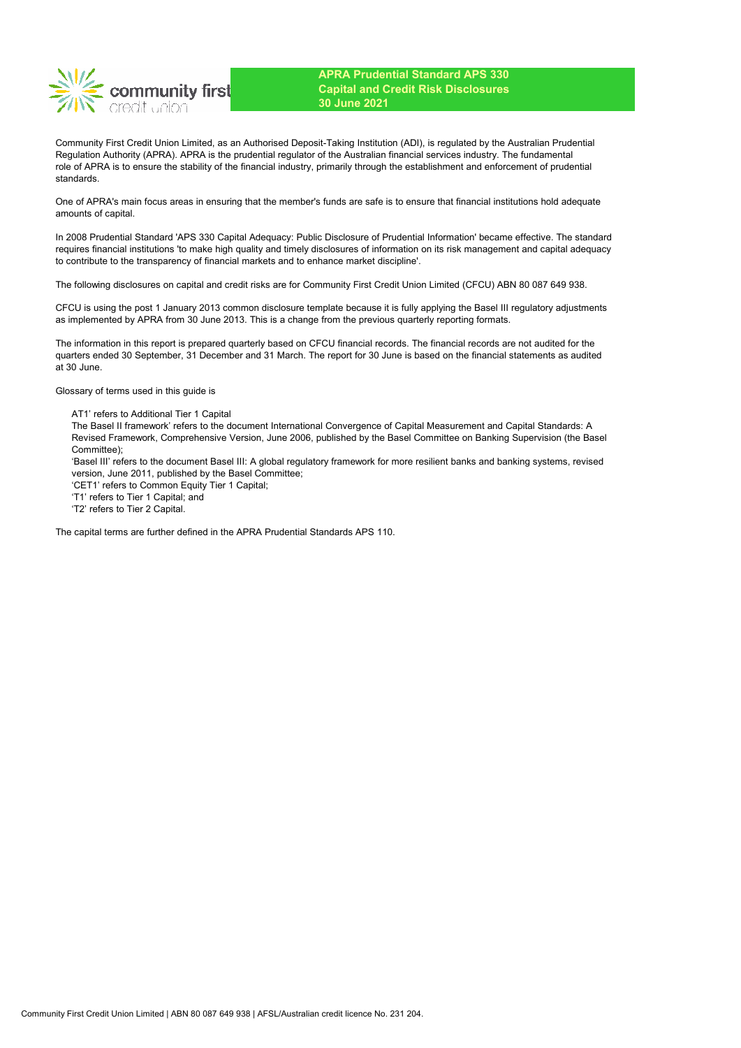

Community First Credit Union Limited, as an Authorised Deposit-Taking Institution (ADI), is regulated by the Australian Prudential Regulation Authority (APRA). APRA is the prudential regulator of the Australian financial services industry. The fundamental role of APRA is to ensure the stability of the financial industry, primarily through the establishment and enforcement of prudential standards.

One of APRA's main focus areas in ensuring that the member's funds are safe is to ensure that financial institutions hold adequate amounts of capital.

In 2008 Prudential Standard 'APS 330 Capital Adequacy: Public Disclosure of Prudential Information' became effective. The standard requires financial institutions 'to make high quality and timely disclosures of information on its risk management and capital adequacy to contribute to the transparency of financial markets and to enhance market discipline'.

The following disclosures on capital and credit risks are for Community First Credit Union Limited (CFCU) ABN 80 087 649 938.

CFCU is using the post 1 January 2013 common disclosure template because it is fully applying the Basel III regulatory adjustments as implemented by APRA from 30 June 2013. This is a change from the previous quarterly reporting formats.

The information in this report is prepared quarterly based on CFCU financial records. The financial records are not audited for the quarters ended 30 September, 31 December and 31 March. The report for 30 June is based on the financial statements as audited at 30 June.

Glossary of terms used in this guide is

AT1' refers to Additional Tier 1 Capital

The Basel II framework' refers to the document International Convergence of Capital Measurement and Capital Standards: A Revised Framework, Comprehensive Version, June 2006, published by the Basel Committee on Banking Supervision (the Basel Committee);

'Basel III' refers to the document Basel III: A global regulatory framework for more resilient banks and banking systems, revised version, June 2011, published by the Basel Committee;

'CET1' refers to Common Equity Tier 1 Capital;

'T1' refers to Tier 1 Capital; and

'T2' refers to Tier 2 Capital.

The capital terms are further defined in the APRA Prudential Standards APS 110.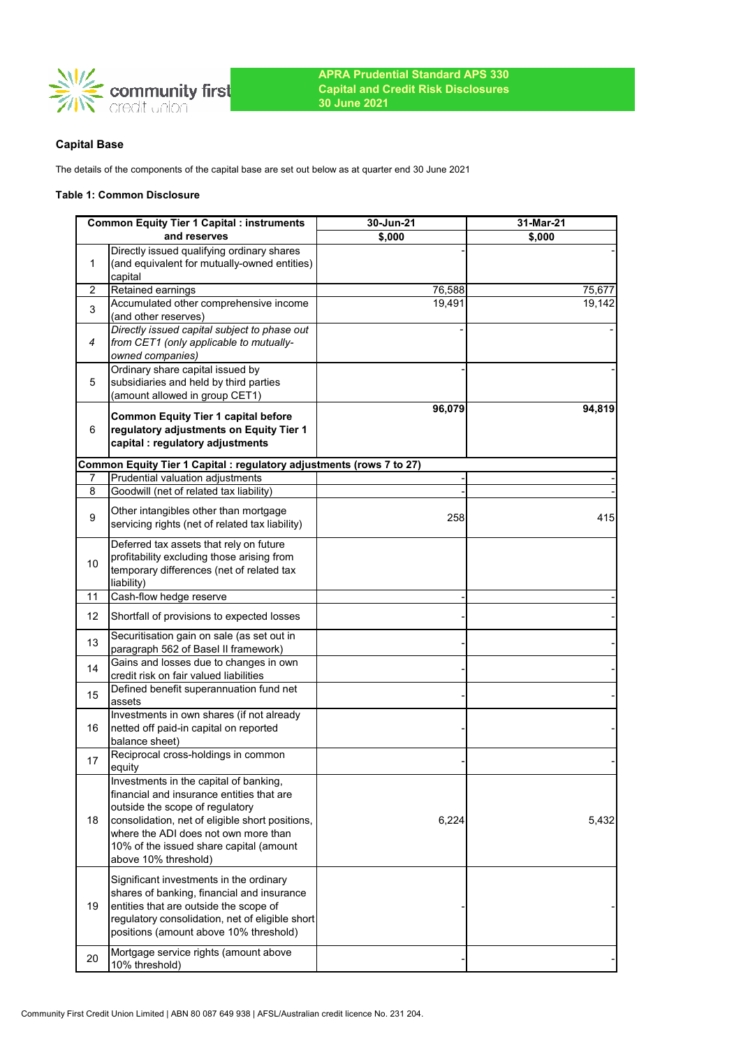

# **Capital Base**

The details of the components of the capital base are set out below as at quarter end 30 June 2021

### **Table 1: Common Disclosure**

|    | <b>Common Equity Tier 1 Capital : instruments</b>                                          | 30-Jun-21 | 31-Mar-21 |
|----|--------------------------------------------------------------------------------------------|-----------|-----------|
|    | and reserves                                                                               | \$,000    | \$,000    |
| 1  | Directly issued qualifying ordinary shares<br>(and equivalent for mutually-owned entities) |           |           |
|    | capital                                                                                    |           |           |
| 2  | Retained earnings<br>Accumulated other comprehensive income                                | 76,588    | 75,677    |
| 3  | (and other reserves)                                                                       | 19,491    | 19,142    |
|    | Directly issued capital subject to phase out                                               |           |           |
| 4  | from CET1 (only applicable to mutually-<br>owned companies)                                |           |           |
|    | Ordinary share capital issued by                                                           |           |           |
| 5  | subsidiaries and held by third parties                                                     |           |           |
|    | (amount allowed in group CET1)                                                             |           |           |
|    | <b>Common Equity Tier 1 capital before</b>                                                 | 96,079    | 94,819    |
| 6  | regulatory adjustments on Equity Tier 1                                                    |           |           |
|    | capital : regulatory adjustments                                                           |           |           |
|    | Common Equity Tier 1 Capital : regulatory adjustments (rows 7 to 27)                       |           |           |
| 7  | Prudential valuation adjustments                                                           |           |           |
| 8  | Goodwill (net of related tax liability)                                                    |           |           |
| 9  | Other intangibles other than mortgage                                                      | 258       | 415       |
|    | servicing rights (net of related tax liability)                                            |           |           |
|    | Deferred tax assets that rely on future                                                    |           |           |
| 10 | profitability excluding those arising from                                                 |           |           |
|    | temporary differences (net of related tax<br>liability)                                    |           |           |
| 11 | Cash-flow hedge reserve                                                                    |           |           |
| 12 | Shortfall of provisions to expected losses                                                 |           |           |
| 13 | Securitisation gain on sale (as set out in                                                 |           |           |
|    | paragraph 562 of Basel II framework)<br>Gains and losses due to changes in own             |           |           |
| 14 | credit risk on fair valued liabilities                                                     |           |           |
| 15 | Defined benefit superannuation fund net                                                    |           |           |
|    | assets                                                                                     |           |           |
| 16 | Investments in own shares (if not already<br>netted off paid-in capital on reported        |           |           |
|    | balance sheet)                                                                             |           |           |
| 17 | Reciprocal cross-holdings in common                                                        |           |           |
|    | equity                                                                                     |           |           |
|    | Investments in the capital of banking,                                                     |           |           |
|    | financial and insurance entities that are                                                  |           |           |
| 18 | outside the scope of regulatory<br>consolidation, net of eligible short positions,         | 6,224     | 5,432     |
|    | where the ADI does not own more than                                                       |           |           |
|    | 10% of the issued share capital (amount                                                    |           |           |
|    | above 10% threshold)                                                                       |           |           |
|    | Significant investments in the ordinary                                                    |           |           |
|    | shares of banking, financial and insurance                                                 |           |           |
| 19 | entities that are outside the scope of                                                     |           |           |
|    | regulatory consolidation, net of eligible short                                            |           |           |
|    | positions (amount above 10% threshold)                                                     |           |           |
| 20 | Mortgage service rights (amount above                                                      |           |           |
|    | 10% threshold)                                                                             |           |           |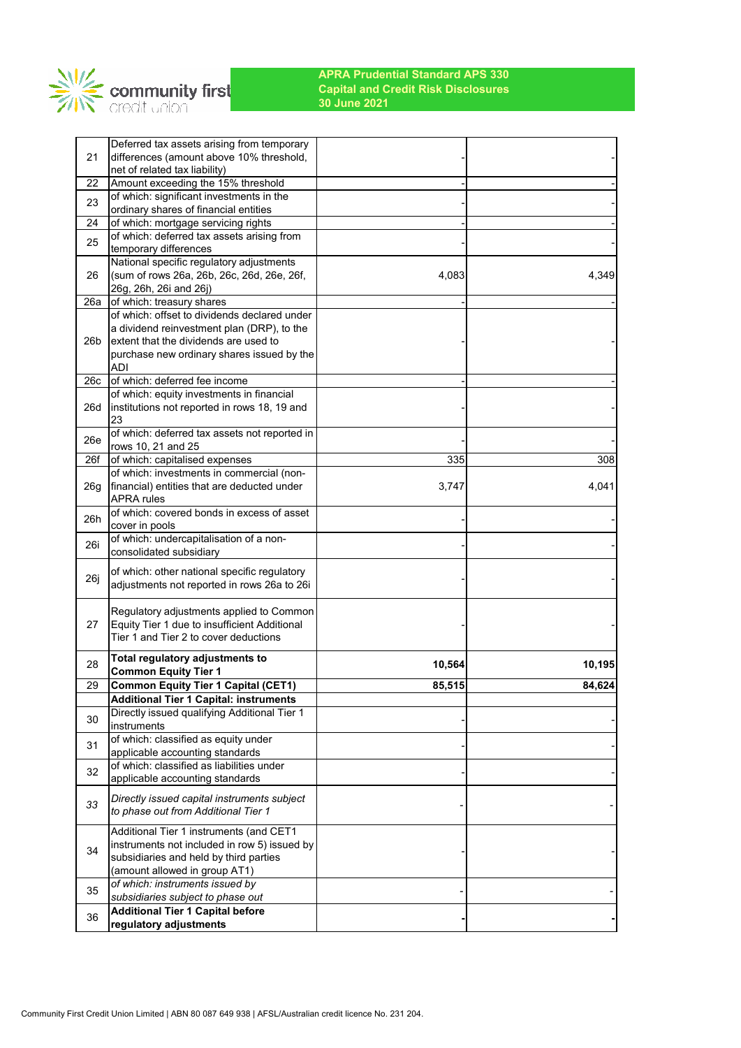

|                 | Deferred tax assets arising from temporary                                                  |        |        |
|-----------------|---------------------------------------------------------------------------------------------|--------|--------|
| 21              | differences (amount above 10% threshold,<br>net of related tax liability)                   |        |        |
| 22              | Amount exceeding the 15% threshold                                                          |        |        |
| 23              | of which: significant investments in the                                                    |        |        |
|                 | ordinary shares of financial entities                                                       |        |        |
| 24              | of which: mortgage servicing rights                                                         |        |        |
| 25              | of which: deferred tax assets arising from<br>temporary differences                         |        |        |
|                 | National specific regulatory adjustments                                                    |        |        |
| 26              | (sum of rows 26a, 26b, 26c, 26d, 26e, 26f,<br>26g, 26h, 26i and 26j)                        | 4.083  | 4,349  |
| 26a             | of which: treasury shares                                                                   |        |        |
|                 | of which: offset to dividends declared under                                                |        |        |
|                 | a dividend reinvestment plan (DRP), to the                                                  |        |        |
| 26 <sub>b</sub> | extent that the dividends are used to                                                       |        |        |
|                 | purchase new ordinary shares issued by the                                                  |        |        |
| 26c             | <b>ADI</b><br>of which: deferred fee income                                                 |        |        |
|                 | of which: equity investments in financial                                                   |        |        |
| 26d             | institutions not reported in rows 18, 19 and                                                |        |        |
|                 | 23                                                                                          |        |        |
| 26e             | of which: deferred tax assets not reported in                                               |        |        |
|                 | rows 10, 21 and 25                                                                          |        |        |
| 26f             | of which: capitalised expenses                                                              | 335    | 308    |
|                 | of which: investments in commercial (non-                                                   |        |        |
| 26g             | financial) entities that are deducted under                                                 | 3,747  | 4,041  |
|                 | <b>APRA</b> rules<br>of which: covered bonds in excess of asset                             |        |        |
| 26h             | cover in pools                                                                              |        |        |
| 26i             | of which: undercapitalisation of a non-                                                     |        |        |
|                 | consolidated subsidiary                                                                     |        |        |
|                 | of which: other national specific regulatory                                                |        |        |
| 26j             | adjustments not reported in rows 26a to 26i                                                 |        |        |
|                 |                                                                                             |        |        |
|                 | Regulatory adjustments applied to Common                                                    |        |        |
| 27              | Equity Tier 1 due to insufficient Additional<br>Tier 1 and Tier 2 to cover deductions       |        |        |
|                 |                                                                                             |        |        |
| 28              | Total regulatory adjustments to                                                             | 10,564 | 10,195 |
|                 | <b>Common Equity Tier 1</b>                                                                 |        |        |
| 29              | <b>Common Equity Tier 1 Capital (CET1)</b><br><b>Additional Tier 1 Capital: instruments</b> | 85,515 | 84,624 |
|                 | Directly issued qualifying Additional Tier 1                                                |        |        |
| 30              | instruments                                                                                 |        |        |
|                 | of which: classified as equity under                                                        |        |        |
| 31              | applicable accounting standards                                                             |        |        |
| 32              | of which: classified as liabilities under                                                   |        |        |
|                 | applicable accounting standards                                                             |        |        |
|                 | Directly issued capital instruments subject                                                 |        |        |
| 33              | to phase out from Additional Tier 1                                                         |        |        |
|                 | Additional Tier 1 instruments (and CET1                                                     |        |        |
|                 | instruments not included in row 5) issued by                                                |        |        |
| 34              | subsidiaries and held by third parties                                                      |        |        |
|                 | (amount allowed in group AT1)                                                               |        |        |
| 35              | of which: instruments issued by                                                             |        |        |
|                 | subsidiaries subject to phase out                                                           |        |        |
| 36              | <b>Additional Tier 1 Capital before</b>                                                     |        |        |
|                 | regulatory adjustments                                                                      |        |        |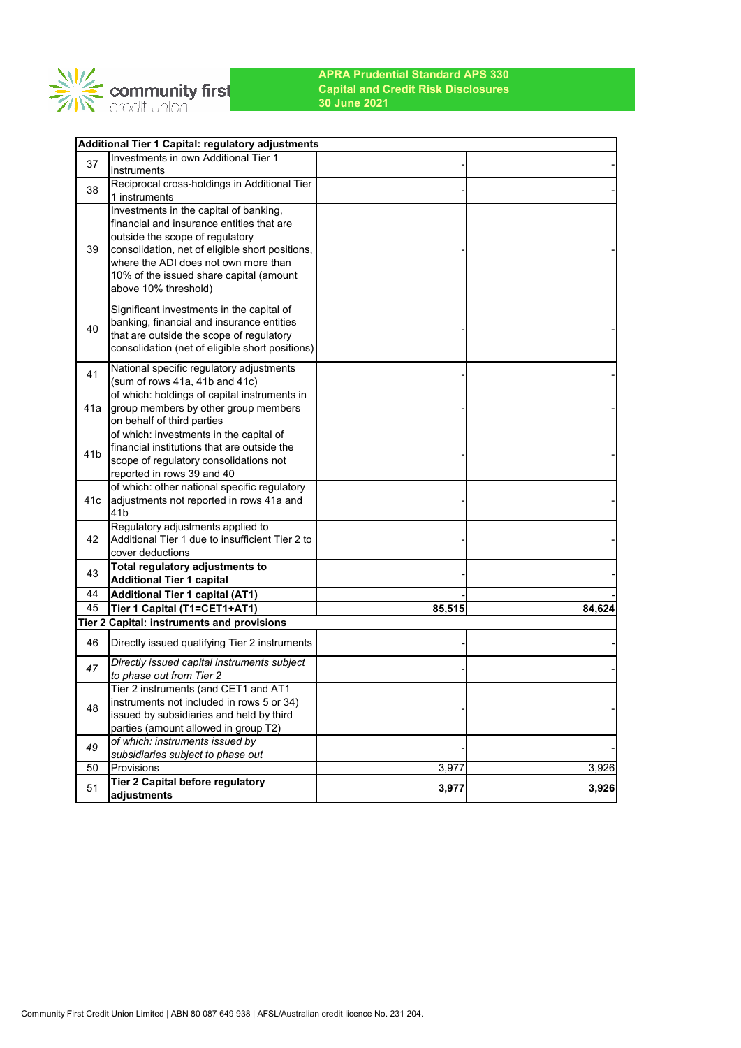

|                 | Additional Tier 1 Capital: regulatory adjustments                          |        |        |
|-----------------|----------------------------------------------------------------------------|--------|--------|
| 37              | Investments in own Additional Tier 1                                       |        |        |
|                 | instruments                                                                |        |        |
| 38              | Reciprocal cross-holdings in Additional Tier                               |        |        |
|                 | 1 instruments                                                              |        |        |
|                 | Investments in the capital of banking,                                     |        |        |
|                 | financial and insurance entities that are                                  |        |        |
|                 | outside the scope of regulatory                                            |        |        |
| 39              | consolidation, net of eligible short positions,                            |        |        |
|                 | where the ADI does not own more than                                       |        |        |
|                 | 10% of the issued share capital (amount                                    |        |        |
|                 | above 10% threshold)                                                       |        |        |
|                 | Significant investments in the capital of                                  |        |        |
|                 | banking, financial and insurance entities                                  |        |        |
| 40              | that are outside the scope of regulatory                                   |        |        |
|                 | consolidation (net of eligible short positions)                            |        |        |
|                 |                                                                            |        |        |
| 41              | National specific regulatory adjustments                                   |        |        |
|                 | (sum of rows 41a, 41b and 41c)                                             |        |        |
|                 | of which: holdings of capital instruments in                               |        |        |
| 41a             | group members by other group members                                       |        |        |
|                 | on behalf of third parties                                                 |        |        |
|                 | of which: investments in the capital of                                    |        |        |
| 41 <sub>b</sub> | financial institutions that are outside the                                |        |        |
|                 | scope of regulatory consolidations not                                     |        |        |
|                 | reported in rows 39 and 40                                                 |        |        |
|                 | of which: other national specific regulatory                               |        |        |
| 41c             | adjustments not reported in rows 41a and                                   |        |        |
|                 | 41 <sub>b</sub>                                                            |        |        |
|                 | Regulatory adjustments applied to                                          |        |        |
| 42              | Additional Tier 1 due to insufficient Tier 2 to                            |        |        |
|                 | cover deductions                                                           |        |        |
| 43              | Total regulatory adjustments to                                            |        |        |
| 44              | <b>Additional Tier 1 capital</b>                                           |        |        |
| 45              | <b>Additional Tier 1 capital (AT1)</b>                                     | 85,515 |        |
|                 | Tier 1 Capital (T1=CET1+AT1)<br>Tier 2 Capital: instruments and provisions |        | 84,624 |
|                 |                                                                            |        |        |
| 46              | Directly issued qualifying Tier 2 instruments                              |        |        |
|                 | Directly issued capital instruments subject                                |        |        |
| 47              | to phase out from Tier 2                                                   |        |        |
|                 | Tier 2 instruments (and CET1 and AT1                                       |        |        |
|                 | instruments not included in rows 5 or 34)                                  |        |        |
| 48              | issued by subsidiaries and held by third                                   |        |        |
|                 | parties (amount allowed in group T2)                                       |        |        |
|                 | of which: instruments issued by                                            |        |        |
| 49              | subsidiaries subject to phase out                                          |        |        |
| 50              | Provisions                                                                 | 3,977  | 3,926  |
|                 | <b>Tier 2 Capital before regulatory</b>                                    |        |        |
| 51              | adjustments                                                                | 3,977  | 3,926  |
|                 |                                                                            |        |        |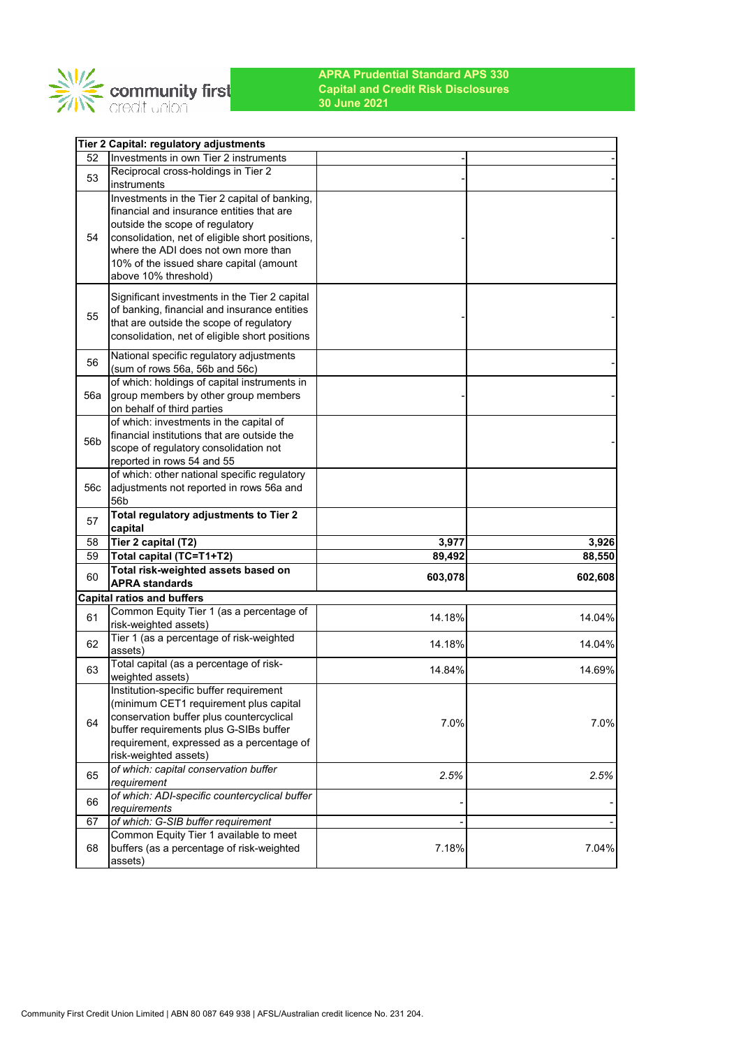

|     | Tier 2 Capital: regulatory adjustments                                                     |         |                   |
|-----|--------------------------------------------------------------------------------------------|---------|-------------------|
| 52  | Investments in own Tier 2 instruments                                                      |         |                   |
| 53  | Reciprocal cross-holdings in Tier 2                                                        |         |                   |
|     | instruments                                                                                |         |                   |
|     | Investments in the Tier 2 capital of banking,<br>financial and insurance entities that are |         |                   |
|     | outside the scope of regulatory                                                            |         |                   |
| 54  | consolidation, net of eligible short positions,                                            |         |                   |
|     | where the ADI does not own more than                                                       |         |                   |
|     | 10% of the issued share capital (amount                                                    |         |                   |
|     | above 10% threshold)                                                                       |         |                   |
|     | Significant investments in the Tier 2 capital                                              |         |                   |
|     | of banking, financial and insurance entities                                               |         |                   |
| 55  | that are outside the scope of regulatory                                                   |         |                   |
|     | consolidation, net of eligible short positions                                             |         |                   |
|     | National specific regulatory adjustments                                                   |         |                   |
| 56  | (sum of rows 56a, 56b and 56c)                                                             |         |                   |
|     | of which: holdings of capital instruments in                                               |         |                   |
| 56a | group members by other group members                                                       |         |                   |
|     | on behalf of third parties                                                                 |         |                   |
|     | of which: investments in the capital of<br>financial institutions that are outside the     |         |                   |
| 56b | scope of regulatory consolidation not                                                      |         |                   |
|     | reported in rows 54 and 55                                                                 |         |                   |
|     | of which: other national specific regulatory                                               |         |                   |
| 56c | adjustments not reported in rows 56a and                                                   |         |                   |
|     | 56b                                                                                        |         |                   |
| 57  | Total regulatory adjustments to Tier 2<br>capital                                          |         |                   |
| 58  | Tier 2 capital (T2)                                                                        | 3,977   | 3,926             |
| 59  | Total capital (TC=T1+T2)                                                                   | 89,492  | 88,550            |
| 60  | Total risk-weighted assets based on                                                        | 603,078 |                   |
|     | <b>APRA standards</b>                                                                      |         |                   |
|     | <b>Capital ratios and buffers</b>                                                          |         |                   |
| 61  | Common Equity Tier 1 (as a percentage of                                                   | 14.18%  |                   |
|     | risk-weighted assets)                                                                      |         | 602,608<br>14.04% |
| 62  | Tier 1 (as a percentage of risk-weighted                                                   | 14.18%  | 14.04%            |
|     | assets)                                                                                    |         |                   |
| 63  | Total capital (as a percentage of risk-<br>weighted assets)                                | 14.84%  | 14.69%            |
|     | Institution-specific buffer requirement                                                    |         |                   |
|     | (minimum CET1 requirement plus capital                                                     |         |                   |
| 64  | conservation buffer plus countercyclical                                                   |         |                   |
|     | buffer requirements plus G-SIBs buffer                                                     | 7.0%    |                   |
|     | requirement, expressed as a percentage of                                                  |         |                   |
|     | risk-weighted assets)                                                                      |         | 7.0%              |
| 65  | of which: capital conservation buffer<br>requirement                                       | 2.5%    | 2.5%              |
|     | of which: ADI-specific countercyclical buffer                                              |         |                   |
| 66  | requirements                                                                               |         |                   |
| 67  | of which: G-SIB buffer requirement                                                         |         |                   |
|     | Common Equity Tier 1 available to meet                                                     |         |                   |
| 68  | buffers (as a percentage of risk-weighted<br>assets)                                       | 7.18%   | 7.04%             |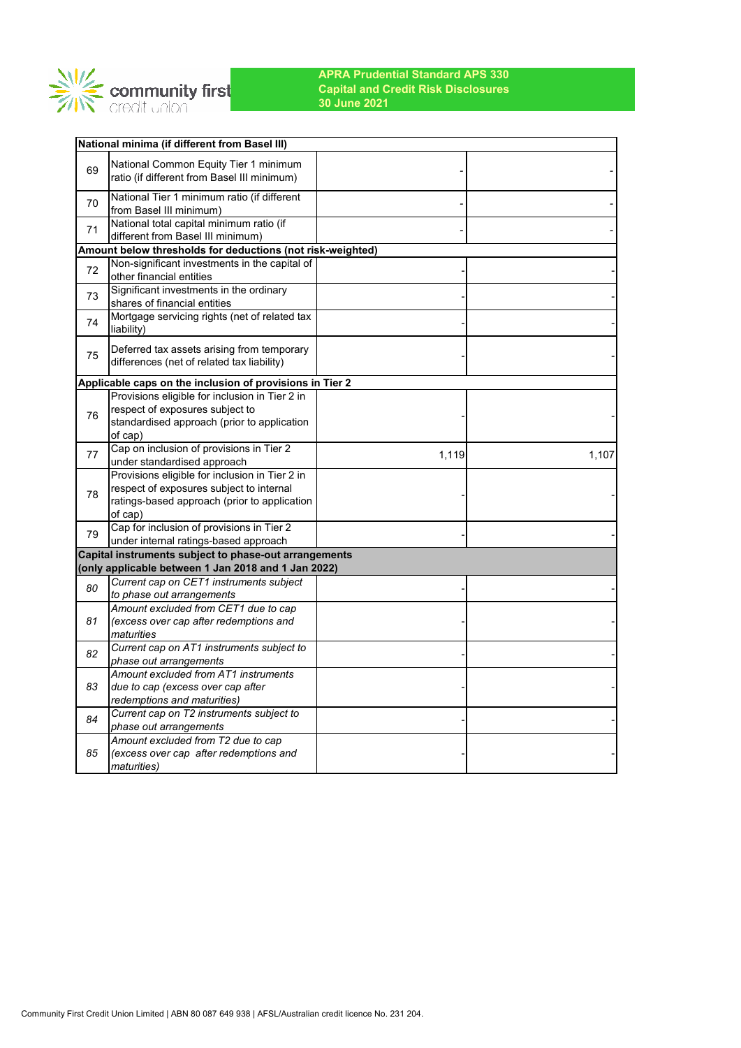

|    | <b>National minima (if different from Basel III)</b>                                     |       |       |
|----|------------------------------------------------------------------------------------------|-------|-------|
| 69 | National Common Equity Tier 1 minimum<br>ratio (if different from Basel III minimum)     |       |       |
| 70 | National Tier 1 minimum ratio (if different<br>from Basel III minimum)                   |       |       |
| 71 | National total capital minimum ratio (if<br>different from Basel III minimum)            |       |       |
|    | Amount below thresholds for deductions (not risk-weighted)                               |       |       |
| 72 | Non-significant investments in the capital of<br>other financial entities                |       |       |
| 73 | Significant investments in the ordinary<br>shares of financial entities                  |       |       |
| 74 | Mortgage servicing rights (net of related tax<br>liability)                              |       |       |
| 75 | Deferred tax assets arising from temporary<br>differences (net of related tax liability) |       |       |
|    | Applicable caps on the inclusion of provisions in Tier 2                                 |       |       |
|    | Provisions eligible for inclusion in Tier 2 in                                           |       |       |
| 76 | respect of exposures subject to                                                          |       |       |
|    | standardised approach (prior to application<br>of cap)                                   |       |       |
| 77 | Cap on inclusion of provisions in Tier 2<br>under standardised approach                  | 1,119 | 1,107 |
|    | Provisions eligible for inclusion in Tier 2 in                                           |       |       |
| 78 | respect of exposures subject to internal                                                 |       |       |
|    | ratings-based approach (prior to application<br>of cap)                                  |       |       |
|    | Cap for inclusion of provisions in Tier 2                                                |       |       |
| 79 | under internal ratings-based approach                                                    |       |       |
|    | Capital instruments subject to phase-out arrangements                                    |       |       |
|    | (only applicable between 1 Jan 2018 and 1 Jan 2022)                                      |       |       |
| 80 | Current cap on CET1 instruments subject                                                  |       |       |
|    | to phase out arrangements                                                                |       |       |
|    | Amount excluded from CET1 due to cap                                                     |       |       |
| 81 | (excess over cap after redemptions and                                                   |       |       |
|    | maturities<br>Current cap on AT1 instruments subject to                                  |       |       |
| 82 | phase out arrangements                                                                   |       |       |
|    | Amount excluded from AT1 instruments                                                     |       |       |
| 83 | due to cap (excess over cap after<br>redemptions and maturities)                         |       |       |
|    | Current cap on T2 instruments subject to                                                 |       |       |
| 84 | phase out arrangements                                                                   |       |       |
|    | Amount excluded from T2 due to cap                                                       |       |       |
| 85 | (excess over cap after redemptions and<br><i>maturities</i> )                            |       |       |
|    |                                                                                          |       |       |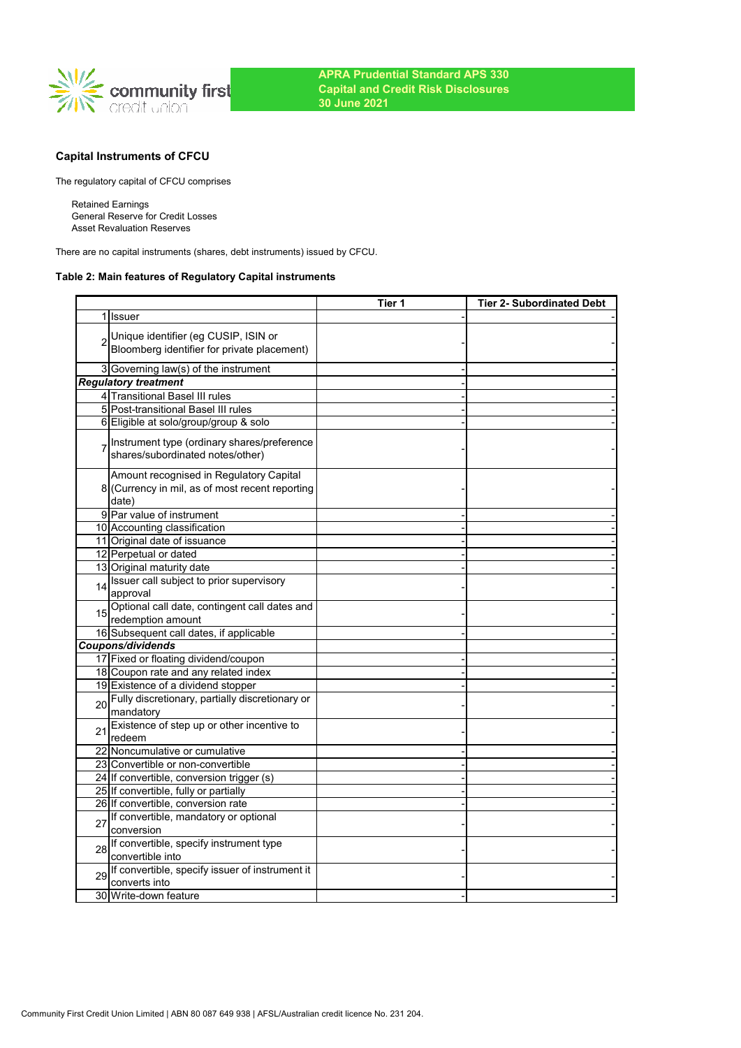

# **Capital Instruments of CFCU**

The regulatory capital of CFCU comprises

Retained Earnings General Reserve for Credit Losses Asset Revaluation Reserves

There are no capital instruments (shares, debt instruments) issued by CFCU.

## **Table 2: Main features of Regulatory Capital instruments**

|    |                                                                                                     | Tier 1 | <b>Tier 2- Subordinated Debt</b> |
|----|-----------------------------------------------------------------------------------------------------|--------|----------------------------------|
|    | 1 Issuer                                                                                            |        |                                  |
|    | Unique identifier (eg CUSIP, ISIN or<br>Bloomberg identifier for private placement)                 |        |                                  |
|    | 3 Governing law(s) of the instrument                                                                |        |                                  |
|    | <b>Regulatory treatment</b>                                                                         |        |                                  |
|    | 4 Transitional Basel III rules                                                                      |        |                                  |
|    | 5 Post-transitional Basel III rules                                                                 |        |                                  |
|    | 6 Eligible at solo/group/group & solo                                                               |        |                                  |
|    | Instrument type (ordinary shares/preference<br>shares/subordinated notes/other)                     |        |                                  |
|    | Amount recognised in Regulatory Capital<br>8 (Currency in mil, as of most recent reporting<br>date) |        |                                  |
|    | 9 Par value of instrument                                                                           |        |                                  |
|    | 10 Accounting classification                                                                        |        |                                  |
|    | 11 Original date of issuance                                                                        |        |                                  |
|    | 12 Perpetual or dated                                                                               |        |                                  |
|    | 13 Original maturity date                                                                           |        |                                  |
| 14 | Issuer call subject to prior supervisory<br>approval                                                |        |                                  |
|    | 15 Optional call date, contingent call dates and<br>redemption amount                               |        |                                  |
|    | 16 Subsequent call dates, if applicable                                                             |        |                                  |
|    | Coupons/dividends                                                                                   |        |                                  |
|    | 17 Fixed or floating dividend/coupon                                                                |        |                                  |
|    | 18 Coupon rate and any related index                                                                |        |                                  |
|    | 19 Existence of a dividend stopper                                                                  |        |                                  |
| 20 | Fully discretionary, partially discretionary or<br>mandatory                                        |        |                                  |
| 21 | Existence of step up or other incentive to<br>redeem                                                |        |                                  |
|    | 22 Noncumulative or cumulative                                                                      |        |                                  |
|    | 23 Convertible or non-convertible                                                                   |        |                                  |
|    | 24 If convertible, conversion trigger (s)                                                           |        |                                  |
|    | 25 If convertible, fully or partially                                                               |        |                                  |
|    | 26 If convertible, conversion rate                                                                  |        |                                  |
| 27 | If convertible, mandatory or optional<br>conversion                                                 |        |                                  |
| 28 | If convertible, specify instrument type<br>convertible into                                         |        |                                  |
| 29 | If convertible, specify issuer of instrument it<br>converts into                                    |        |                                  |
|    | 30 Write-down feature                                                                               |        |                                  |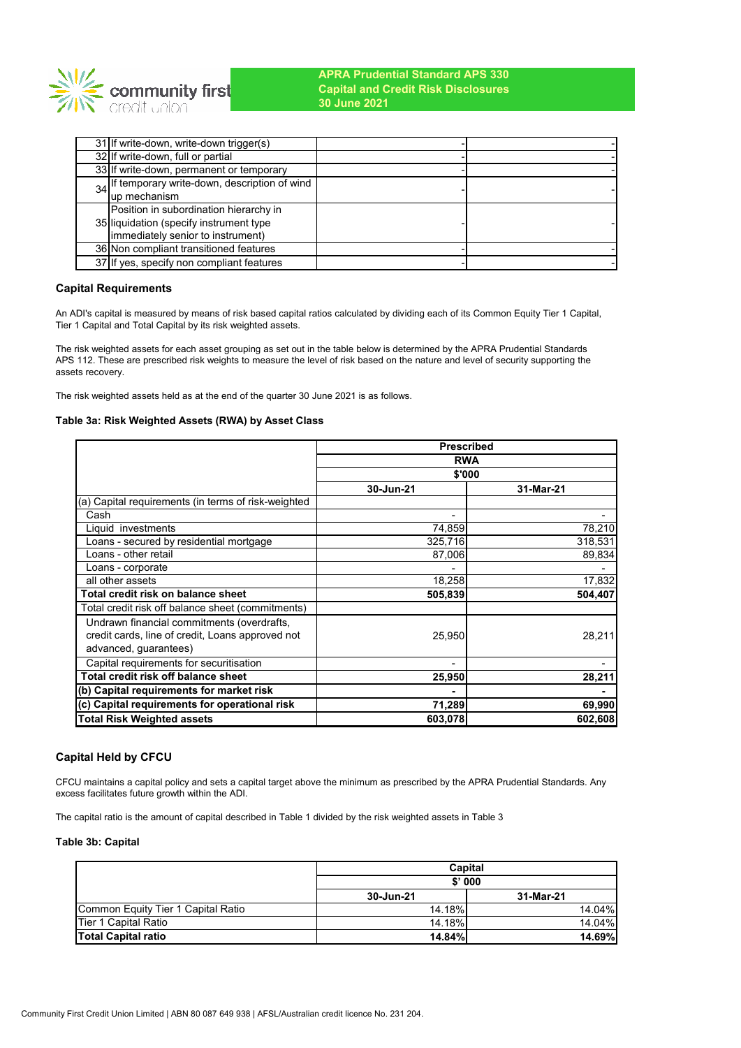

| 31 If write-down, write-down trigger(s)         |  |
|-------------------------------------------------|--|
| 32 If write-down, full or partial               |  |
| 33 If write-down, permanent or temporary        |  |
| 34 If temporary write-down, description of wind |  |
| lup mechanism                                   |  |
| Position in subordination hierarchy in          |  |
| 35 liquidation (specify instrument type         |  |
| (immediately senior to instrument)              |  |
| 36 Non compliant transitioned features          |  |
| 37 If yes, specify non compliant features       |  |

## **Capital Requirements**

An ADI's capital is measured by means of risk based capital ratios calculated by dividing each of its Common Equity Tier 1 Capital, Tier 1 Capital and Total Capital by its risk weighted assets.

The risk weighted assets for each asset grouping as set out in the table below is determined by the APRA Prudential Standards APS 112. These are prescribed risk weights to measure the level of risk based on the nature and level of security supporting the assets recovery.

The risk weighted assets held as at the end of the quarter 30 June 2021 is as follows.

### **Table 3a: Risk Weighted Assets (RWA) by Asset Class**

|                                                     | <b>Prescribed</b> |           |  |  |
|-----------------------------------------------------|-------------------|-----------|--|--|
|                                                     | <b>RWA</b>        |           |  |  |
|                                                     | \$'000            |           |  |  |
|                                                     | 30-Jun-21         | 31-Mar-21 |  |  |
| (a) Capital requirements (in terms of risk-weighted |                   |           |  |  |
| Cash                                                | ۰                 |           |  |  |
| Liquid investments                                  | 74,859            | 78,210    |  |  |
| Loans - secured by residential mortgage             | 325,716           | 318,531   |  |  |
| Loans - other retail                                | 87,006            | 89,834    |  |  |
| Loans - corporate                                   |                   |           |  |  |
| all other assets                                    | 18,258            | 17,832    |  |  |
| Total credit risk on balance sheet                  | 505,839           | 504,407   |  |  |
| Total credit risk off balance sheet (commitments)   |                   |           |  |  |
| Undrawn financial commitments (overdrafts,          |                   |           |  |  |
| credit cards, line of credit, Loans approved not    | 25,950            | 28,211    |  |  |
| advanced, guarantees)                               |                   |           |  |  |
| Capital requirements for securitisation             |                   |           |  |  |
| Total credit risk off balance sheet                 | 25,950            | 28,211    |  |  |
| (b) Capital requirements for market risk            |                   |           |  |  |
| (c) Capital requirements for operational risk       | 71,289            | 69,990    |  |  |
| Total Risk Weighted assets                          | 603,078           | 602,608   |  |  |

## **Capital Held by CFCU**

CFCU maintains a capital policy and sets a capital target above the minimum as prescribed by the APRA Prudential Standards. Any excess facilitates future growth within the ADI.

The capital ratio is the amount of capital described in Table 1 divided by the risk weighted assets in Table 3

### **Table 3b: Capital**

|                                    | Capital       |               |  |
|------------------------------------|---------------|---------------|--|
|                                    | \$'000        |               |  |
|                                    | 30-Jun-21     | 31-Mar-21     |  |
| Common Equity Tier 1 Capital Ratio | 14.18%        | 14.04%        |  |
| Tier 1 Capital Ratio               | 14.18%        | 14.04%        |  |
| <b>Total Capital ratio</b>         | <b>14.84%</b> | <b>14.69%</b> |  |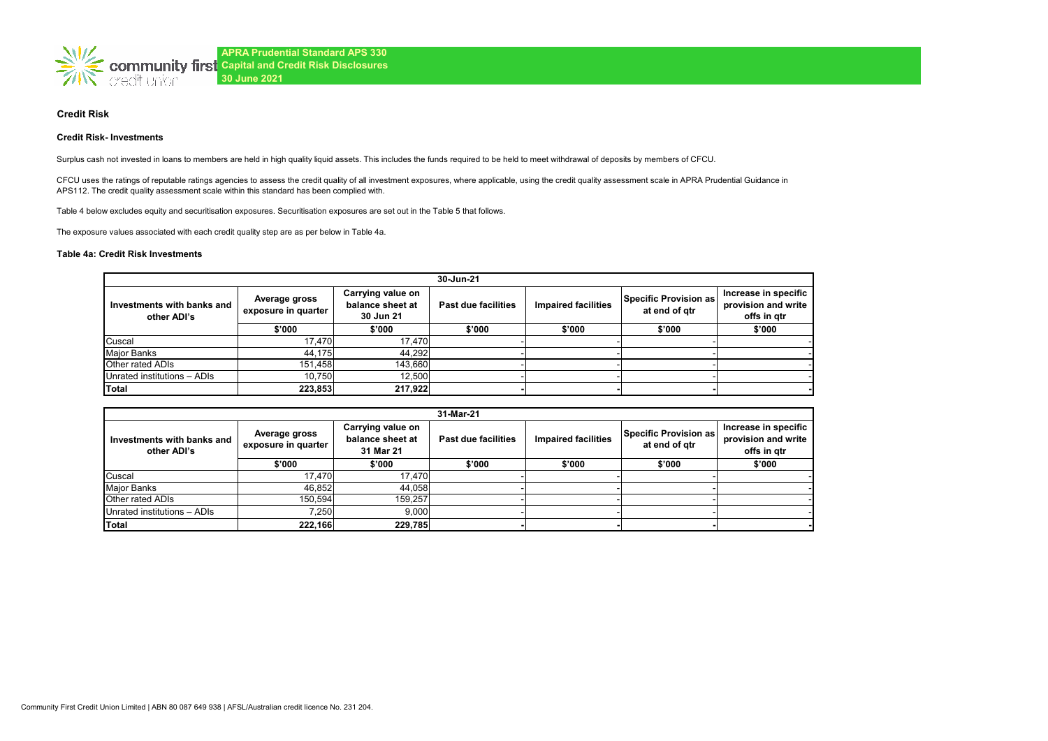

### **Credit Risk**

#### **Credit Risk- Investments**

Surplus cash not invested in loans to members are held in high quality liquid assets. This includes the funds required to be held to meet withdrawal of deposits by members of CFCU.

CFCU uses the ratings of reputable ratings agencies to assess the credit quality of all investment exposures, where applicable, using the credit quality assessment scale in APRA Prudential Guidance in APS112. The credit quality assessment scale within this standard has been complied with.

Table 4 below excludes equity and securitisation exposures. Securitisation exposures are set out in the Table 5 that follows.

The exposure values associated with each credit quality step are as per below in Table 4a.

### **Table 4a: Credit Risk Investments**

|                                           | 30-Jun-21                                                                                  |         |                     |                            |                                        |                                                            |  |  |
|-------------------------------------------|--------------------------------------------------------------------------------------------|---------|---------------------|----------------------------|----------------------------------------|------------------------------------------------------------|--|--|
| Investments with banks and<br>other ADI's | Carrying value on<br>Average gross<br>balance sheet at<br>exposure in quarter<br>30 Jun 21 |         | Past due facilities | <b>Impaired facilities</b> | Specific Provision as<br>at end of gtr | Increase in specific<br>provision and write<br>offs in gtr |  |  |
|                                           | \$'000                                                                                     | \$'000  | \$'000              | \$'000                     | \$'000                                 | \$'000                                                     |  |  |
| Cuscal                                    | 17,470                                                                                     | 17,470  |                     |                            |                                        |                                                            |  |  |
| <b>Major Banks</b>                        | 44,175                                                                                     | 44,292  |                     |                            |                                        |                                                            |  |  |
| Other rated ADIs                          | 151.458                                                                                    | 143.660 |                     |                            |                                        |                                                            |  |  |
| Unrated institutions - ADIs               | 10.750                                                                                     | 12.500  |                     |                            |                                        |                                                            |  |  |
| Total                                     | 223,853                                                                                    | 217,922 |                     |                            |                                        |                                                            |  |  |

|                                           | 31-Mar-21                                                                                  |         |                            |                            |                                        |                                                            |  |  |
|-------------------------------------------|--------------------------------------------------------------------------------------------|---------|----------------------------|----------------------------|----------------------------------------|------------------------------------------------------------|--|--|
| Investments with banks and<br>other ADI's | Carrying value on<br>Average gross<br>balance sheet at<br>exposure in quarter<br>31 Mar 21 |         | <b>Past due facilities</b> | <b>Impaired facilities</b> | Specific Provision as<br>at end of gtr | Increase in specific<br>provision and write<br>offs in atr |  |  |
|                                           | \$'000                                                                                     | \$'000  | \$'000                     | \$'000                     | \$'000                                 | \$'000                                                     |  |  |
| Cuscal                                    | 17.470                                                                                     | 17.470  |                            |                            |                                        |                                                            |  |  |
| Major Banks                               | 46.852                                                                                     | 44.058  |                            |                            |                                        |                                                            |  |  |
| Other rated ADIs                          | 150.594                                                                                    | 159,257 |                            |                            |                                        |                                                            |  |  |
| Unrated institutions - ADIs               | 7.250                                                                                      | 9.000   |                            |                            |                                        |                                                            |  |  |
| Total                                     | 222,166                                                                                    | 229,785 |                            |                            |                                        |                                                            |  |  |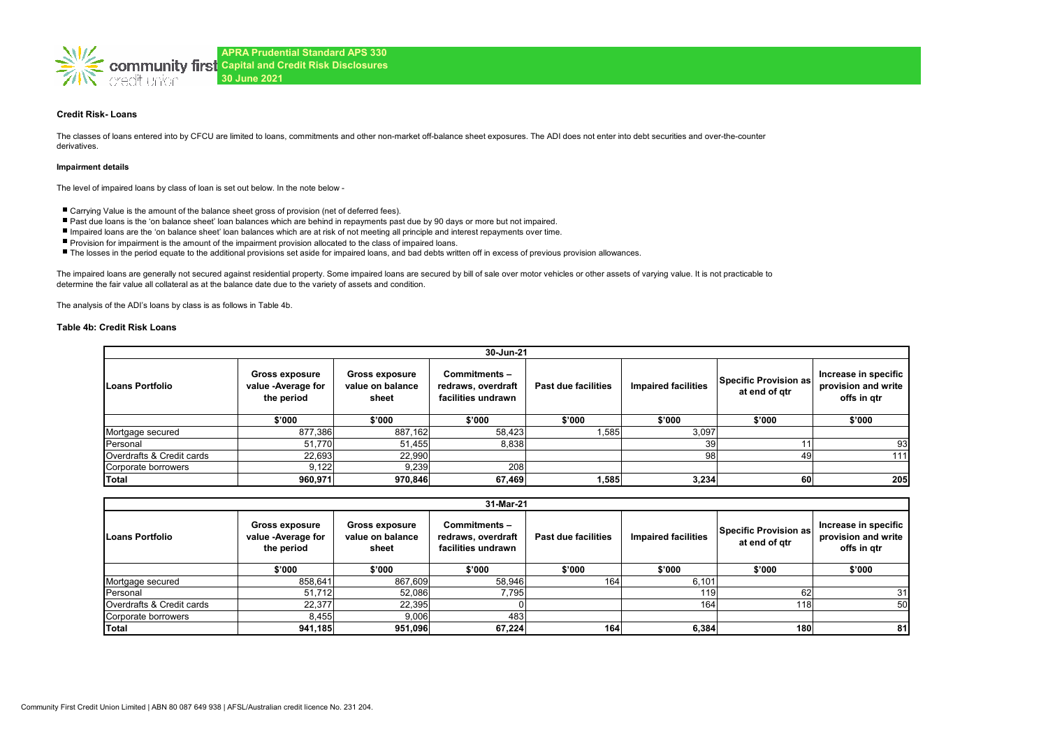

### **Credit Risk- Loans**

The classes of loans entered into by CFCU are limited to loans, commitments and other non-market off-balance sheet exposures. The ADI does not enter into debt securities and over-the-counter derivatives.

#### **Impairment details**

The level of impaired loans by class of loan is set out below. In the note below -

- Carrying Value is the amount of the balance sheet gross of provision (net of deferred fees).
- Past due loans is the 'on balance sheet' loan balances which are behind in repayments past due by 90 days or more but not impaired.
- Impaired loans are the 'on balance sheet' loan balances which are at risk of not meeting all principle and interest repayments over time.
- Provision for impairment is the amount of the impairment provision allocated to the class of impaired loans.
- The losses in the period equate to the additional provisions set aside for impaired loans, and bad debts written off in excess of previous provision allowances.

The impaired loans are generally not secured against residential property. Some impaired loans are secured by bill of sale over motor vehicles or other assets of varying value. It is not practicable to determine the fair value all collateral as at the balance date due to the variety of assets and condition.

The analysis of the ADI's loans by class is as follows in Table 4b.

#### **Table 4b: Credit Risk Loans**

|                           | 30-Jun-21                                          |                                                    |                                                          |                     |                            |                                        |                                                            |  |  |
|---------------------------|----------------------------------------------------|----------------------------------------------------|----------------------------------------------------------|---------------------|----------------------------|----------------------------------------|------------------------------------------------------------|--|--|
| Loans Portfolio           | Gross exposure<br>value -Average for<br>the period | <b>Gross exposure</b><br>value on balance<br>sheet | Commitments-<br>redraws, overdraft<br>facilities undrawn | Past due facilities | <b>Impaired facilities</b> | Specific Provision as<br>at end of gtr | Increase in specific<br>provision and write<br>offs in gtr |  |  |
|                           | \$'000                                             | \$'000                                             | \$'000                                                   | \$'000              | \$'000                     | \$'000                                 | \$'000                                                     |  |  |
| Mortgage secured          | 877,386                                            | 887,162                                            | 58,423                                                   | 1,585               | 3,097                      |                                        |                                                            |  |  |
| Personal                  | 51,770                                             | 51,455                                             | 8,838                                                    |                     | 39                         |                                        | 93                                                         |  |  |
| Overdrafts & Credit cards | 22,693                                             | 22,990                                             |                                                          |                     | 98                         | 49                                     | 111                                                        |  |  |
| Corporate borrowers       | 9,122                                              | 9,239                                              | 208                                                      |                     |                            |                                        |                                                            |  |  |
| Total                     | 960,971                                            | 970,846                                            | 67,469                                                   | 1,585               | 3,234                      | 60                                     | 205                                                        |  |  |

| 31-Mar-21                 |                                                           |                                                    |                                                          |                     |                            |                                        |                                                            |  |
|---------------------------|-----------------------------------------------------------|----------------------------------------------------|----------------------------------------------------------|---------------------|----------------------------|----------------------------------------|------------------------------------------------------------|--|
| Loans Portfolio           | <b>Gross exposure</b><br>value -Average for<br>the period | <b>Gross exposure</b><br>value on balance<br>sheet | Commitments-<br>redraws, overdraft<br>facilities undrawn | Past due facilities | <b>Impaired facilities</b> | Specific Provision as<br>at end of gtr | Increase in specific<br>provision and write<br>offs in gtr |  |
|                           | \$'000                                                    | \$'000                                             | \$'000                                                   | \$'000              | \$'000                     | \$'000                                 | \$'000                                                     |  |
| Mortgage secured          | 858,641                                                   | 867,609                                            | 58,946                                                   | 164                 | 6,101                      |                                        |                                                            |  |
| Personal                  | 51,712                                                    | 52,086                                             | 7,795                                                    |                     | 119                        | 62                                     | 31                                                         |  |
| Overdrafts & Credit cards | 22,377                                                    | 22,395                                             |                                                          |                     | 164                        | 18 <sub>1</sub>                        | 50                                                         |  |
| Corporate borrowers       | 8,455                                                     | 9,006                                              | 483                                                      |                     |                            |                                        |                                                            |  |
| Total                     | 941,185                                                   | 951,096                                            | 67.224                                                   | 164                 | 6,384                      | 180                                    | 81                                                         |  |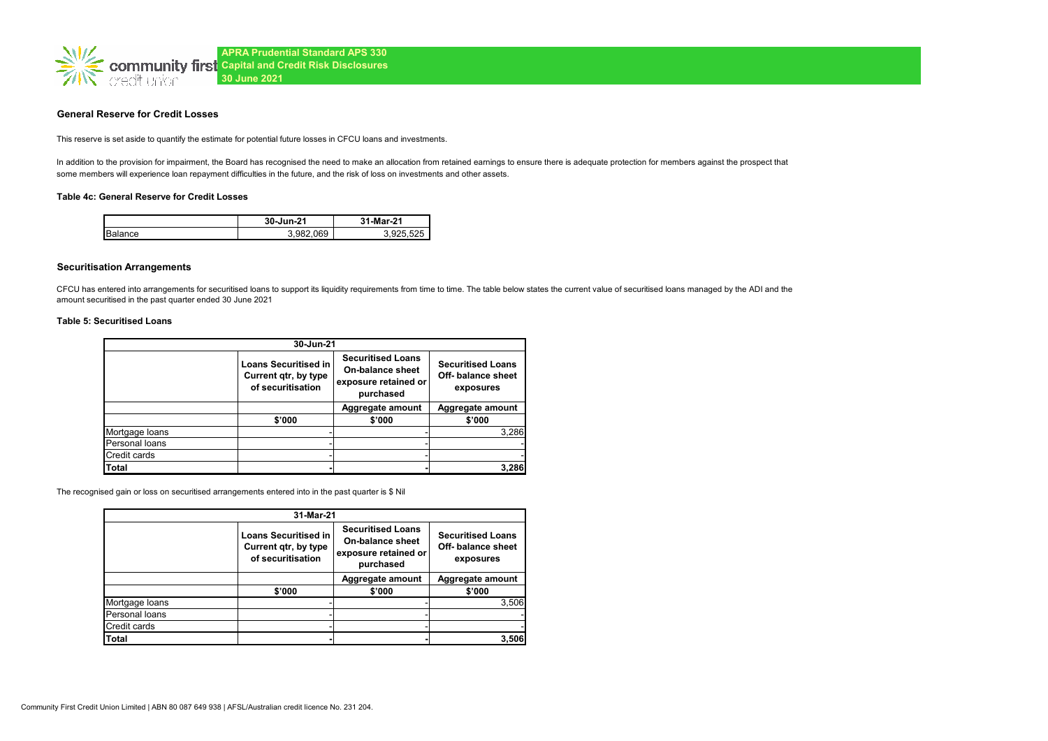

### **General Reserve for Credit Losses**

This reserve is set aside to quantify the estimate for potential future losses in CFCU loans and investments.

In addition to the provision for impairment, the Board has recognised the need to make an allocation from retained earnings to ensure there is adequate protection for members against the prospect that some members will experience loan repayment difficulties in the future, and the risk of loss on investments and other assets.

#### **Table 4c: General Reserve for Credit Losses**

|         | 31-Mar-21<br>30-Jun-21 |        |
|---------|------------------------|--------|
| Balance | .069<br>3.982.         | 025525 |

### **Securitisation Arrangements**

CFCU has entered into arrangements for securitised loans to support its liquidity requirements from time to time. The table below states the current value of securitised loans managed by the ADI and the amount securitised in the past quarter ended 30 June 2021

#### **Table 5: Securitised Loans**

| 30-Jun-21      |                                                                          |                                                                                   |                                                             |  |  |  |
|----------------|--------------------------------------------------------------------------|-----------------------------------------------------------------------------------|-------------------------------------------------------------|--|--|--|
|                | <b>Loans Securitised in</b><br>Current qtr, by type<br>of securitisation | <b>Securitised Loans</b><br>On-balance sheet<br>exposure retained or<br>purchased | <b>Securitised Loans</b><br>Off- balance sheet<br>exposures |  |  |  |
|                |                                                                          | Aggregate amount                                                                  | Aggregate amount                                            |  |  |  |
|                | \$'000                                                                   | \$'000                                                                            | \$'000                                                      |  |  |  |
| Mortgage loans |                                                                          |                                                                                   | 3.286                                                       |  |  |  |
| Personal loans |                                                                          |                                                                                   |                                                             |  |  |  |
| Credit cards   |                                                                          |                                                                                   |                                                             |  |  |  |
| Total          |                                                                          |                                                                                   | 3,286                                                       |  |  |  |

The recognised gain or loss on securitised arrangements entered into in the past quarter is \$ Nil

| 31-Mar-21      |                                                                          |                                                                                          |                                                             |  |  |  |
|----------------|--------------------------------------------------------------------------|------------------------------------------------------------------------------------------|-------------------------------------------------------------|--|--|--|
|                | <b>Loans Securitised in</b><br>Current qtr, by type<br>of securitisation | <b>Securitised Loans</b><br><b>On-balance sheet</b><br>exposure retained or<br>purchased | <b>Securitised Loans</b><br>Off- balance sheet<br>exposures |  |  |  |
|                |                                                                          | Aggregate amount                                                                         | Aggregate amount                                            |  |  |  |
|                | \$'000                                                                   | \$'000                                                                                   | \$'000                                                      |  |  |  |
| Mortgage Ioans |                                                                          |                                                                                          | 3,506                                                       |  |  |  |
| Personal loans |                                                                          |                                                                                          |                                                             |  |  |  |
| Credit cards   |                                                                          |                                                                                          |                                                             |  |  |  |
| Total          |                                                                          |                                                                                          | 3.506                                                       |  |  |  |